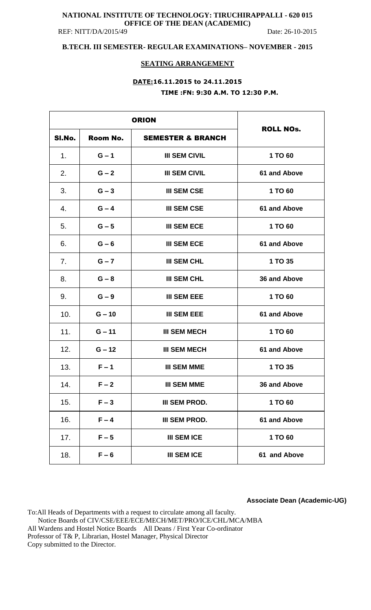### **NATIONAL INSTITUTE OF TECHNOLOGY: TIRUCHIRAPPALLI - 620 015 OFFICE OF THE DEAN (ACADEMIC)**  REF: NITT/DA/2015/49 Date: 26-10-2015

## **B.TECH. III SEMESTER- REGULAR EXAMINATIONS– NOVEMBER - 2015**

### **SEATING ARRANGEMENT**

# **DATE:16.11.2015 to 24.11.2015 TIME :FN: 9:30 A.M. TO 12:30 P.M.**

|        | <b>ORION</b> |                              |                  |
|--------|--------------|------------------------------|------------------|
| SI.No. | Room No.     | <b>SEMESTER &amp; BRANCH</b> | <b>ROLL NOs.</b> |
| 1.     | $G - 1$      | <b>III SEM CIVIL</b>         | 1 TO 60          |
| 2.     | $G - 2$      | <b>III SEM CIVIL</b>         | 61 and Above     |
| 3.     | $G - 3$      | <b>III SEM CSE</b>           | 1 TO 60          |
| 4.     | $G - 4$      | <b>III SEM CSE</b>           | 61 and Above     |
| 5.     | $G - 5$      | <b>III SEM ECE</b>           | 1 TO 60          |
| 6.     | $G - 6$      | <b>III SEM ECE</b>           | 61 and Above     |
| 7.     | $G - 7$      | <b>III SEM CHL</b>           | 1 TO 35          |
| 8.     | $G - 8$      | <b>III SEM CHL</b>           | 36 and Above     |
| 9.     | $G - 9$      | <b>III SEM EEE</b>           | 1 TO 60          |
| 10.    | $G - 10$     | <b>III SEM EEE</b>           | 61 and Above     |
| 11.    | $G - 11$     | <b>III SEM MECH</b>          | 1 TO 60          |
| 12.    | $G - 12$     | <b>III SEM MECH</b>          | 61 and Above     |
| 13.    | $F - 1$      | <b>III SEM MME</b>           | 1 TO 35          |
| 14.    | $F - 2$      | <b>III SEM MME</b>           | 36 and Above     |
| 15.    | $F - 3$      | III SEM PROD.                | 1 TO 60          |
| 16.    | $F - 4$      | <b>III SEM PROD.</b>         | 61 and Above     |
| 17.    | $F - 5$      | <b>III SEM ICE</b>           | 1 TO 60          |
| 18.    | $F - 6$      | <b>III SEM ICE</b>           | 61 and Above     |

**Associate Dean (Academic-UG)**

To:All Heads of Departments with a request to circulate among all faculty. Notice Boards of CIV/CSE/EEE/ECE/MECH/MET/PRO/ICE/CHL/MCA/MBA All Wardens and Hostel Notice Boards All Deans / First Year Co-ordinator Professor of T& P, Librarian, Hostel Manager, Physical Director Copy submitted to the Director.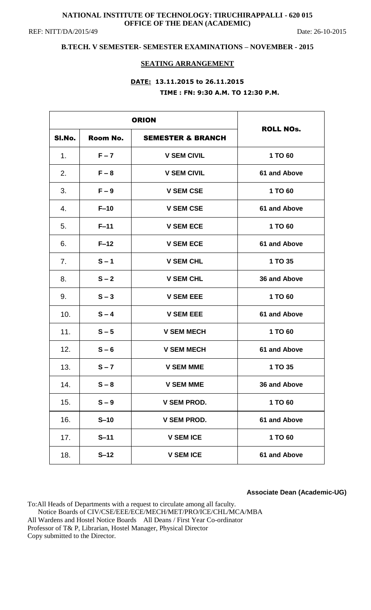## **NATIONAL INSTITUTE OF TECHNOLOGY: TIRUCHIRAPPALLI - 620 015 OFFICE OF THE DEAN (ACADEMIC)**

REF: NITT/DA/2015/49 Date: 26-10-2015

## **B.TECH. V SEMESTER- SEMESTER EXAMINATIONS – NOVEMBER - 2015**

### **SEATING ARRANGEMENT**

## **DATE: 13.11.2015 to 26.11.2015 TIME : FN: 9:30 A.M. TO 12:30 P.M.**

| <b>ORION</b> |          |                              |                     |
|--------------|----------|------------------------------|---------------------|
| SI.No.       | Room No. | <b>SEMESTER &amp; BRANCH</b> | <b>ROLL NOs.</b>    |
| 1.           | $F - 7$  | <b>V SEM CIVIL</b>           | 1 TO 60             |
| 2.           | $F - 8$  | <b>V SEM CIVIL</b>           | 61 and Above        |
| 3.           | $F - 9$  | <b>V SEM CSE</b>             | 1 TO 60             |
| 4.           | $F-10$   | <b>V SEM CSE</b>             | 61 and Above        |
| 5.           | $F-11$   | <b>V SEM ECE</b>             | 1 TO 60             |
| 6.           | $F-12$   | <b>V SEM ECE</b>             | 61 and Above        |
| 7.           | $S - 1$  | <b>V SEM CHL</b>             | 1 TO 35             |
| 8.           | $S - 2$  | <b>V SEM CHL</b>             | 36 and Above        |
| 9.           | $S - 3$  | <b>V SEM EEE</b>             | 1 TO 60             |
| 10.          | $S - 4$  | <b>V SEM EEE</b>             | <b>61 and Above</b> |
| 11.          | $S - 5$  | <b>V SEM MECH</b>            | 1 TO 60             |
| 12.          | $S - 6$  | <b>V SEM MECH</b>            | 61 and Above        |
| 13.          | $S - 7$  | <b>V SEM MME</b>             | 1 TO 35             |
| 14.          | $S - 8$  | <b>V SEM MME</b>             | 36 and Above        |
| 15.          | $S - 9$  | <b>V SEM PROD.</b>           | 1 TO 60             |
| 16.          | $S-10$   | <b>V SEM PROD.</b>           | 61 and Above        |
| 17.          | $S-11$   | <b>V SEM ICE</b>             | 1 TO 60             |
| 18.          | $S-12$   | <b>V SEM ICE</b>             | 61 and Above        |

**Associate Dean (Academic-UG)**

To:All Heads of Departments with a request to circulate among all faculty. Notice Boards of CIV/CSE/EEE/ECE/MECH/MET/PRO/ICE/CHL/MCA/MBA All Wardens and Hostel Notice Boards All Deans / First Year Co-ordinator Professor of T& P, Librarian, Hostel Manager, Physical Director Copy submitted to the Director.